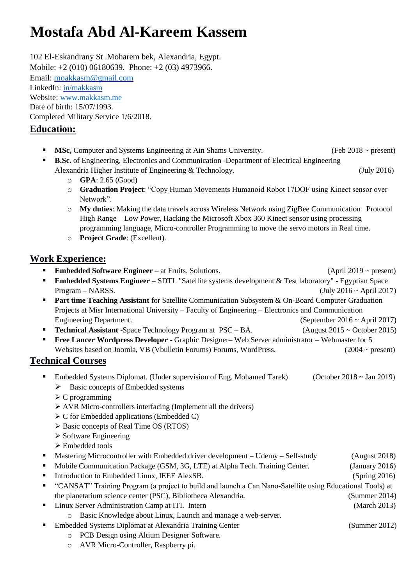# **Mostafa Abd Al-Kareem Kassem**

102 El-Eskandrany St .Moharem bek, Alexandria, Egypt. Mobile: +2 (010) 06180639. Phone: +2 (03) 4973966. Email: moakkasm@gmail.com LinkedIn: in/makkas[m](https://www.linkedin.com/in/mostafakareem93)  Website: [www.makkasm.me](https://www.makkasm.me/) Date of birth: 15/07/1993. Completed Military Service 1/6/2018.

# **Education:**

- **MSc,** Computer and Systems Engineering at Ain Shams University. (Feb 2018 ~ present)
- **B.Sc.** of Engineering, Electronics and Communication -Department of Electrical Engineering Alexandria Higher Institute of Engineering & Technology. (July 2016)
	- o **GPA**: 2.65 (Good)
	- o **Graduation Project**: "Copy Human Movements Humanoid Robot 17DOF using Kinect sensor over Network".
	- o **My duties**: Making the data travels across Wireless Network using ZigBee Communication Protocol High Range – Low Power, Hacking the Microsoft Xbox 360 Kinect sensor using processing programming language, Micro-controller Programming to move the servo motors in Real time.
	- o **Project Grade**: (Excellent).

# **Work Experience:**

- **Embedded Software Engineer** at Fruits. Solutions. (April 2019 ~ present) ■ **Embedded Systems Engineer** – SDTL "Satellite systems development & Test laboratory" - Egyptian Space  $Program - NARSS.$  (July 2016 ~ April 2017)
- **Part time Teaching Assistant** for Satellite Communication Subsystem & On-Board Computer Graduation Projects at Misr International University – Faculty of Engineering – Electronics and Communication Engineering Department. (September 2016 ~ April 2017)
- **Technical Assistant** -Space Technology Program at PSC BA. (August 2015 ~ October 2015)
- **Free Lancer Wordpress Developer** Graphic Designer– Web Server administrator Webmaster for 5 Websites based on Joomla, VB (Vbulletin Forums) Forums, WordPress.  $(2004 \sim present)$

## **Technical Courses**

- Embedded Systems Diplomat. (Under supervision of Eng. Mohamed Tarek) (October 2018 ~ Jan 2019) ➢ Basic concepts of Embedded systems
	- $\triangleright$  C programming
	- ➢ AVR Micro-controllers interfacing (Implement all the drivers)
	- ➢ C for Embedded applications (Embedded C)
	- ➢ Basic concepts of Real Time OS (RTOS)
	- ➢ Software Engineering
	- ➢ Embedded tools
- Mastering Microcontroller with Embedded driver development Udemy Self-study (August 2018)
- Mobile Communication Package (GSM, 3G, LTE) at Alpha Tech. Training Center. (January 2016)
- Introduction to Embedded Linux, IEEE AlexSB. (Spring 2016)
- "CANSAT" Training Program (a project to build and launch a Can Nano-Satellite using Educational Tools) at the planetarium science center (PSC), Bibliotheca Alexandria. (Summer 2014)
	- Linux Server Administration Camp at ITI. Intern (March 2013)
		- o Basic Knowledge about Linux, Launch and manage a web-server.
- Embedded Systems Diplomat at Alexandria Training Center (Summer 2012)
	- o PCB Design using Altium Designer Software.
	- o AVR Micro-Controller, Raspberry pi.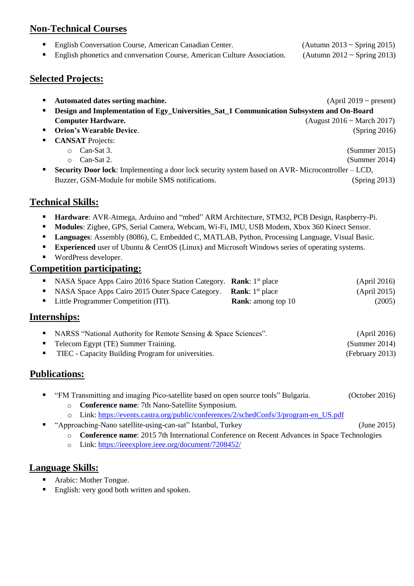# **Non-Technical Courses**

▪ English Conversation Course, American Canadian Center. (Autumn 2013 ~ Spring 2015)

**English phonetics and conversation Course, American Culture Association.** (Autumn  $2012 \sim$  Spring 2013)

### **Selected Projects:**

- **Automated dates sorting machine.** (April 2019 ~ present)
- **EXECUTE:** Design and Implementation of Egy\_Universities\_Sat\_1 Communication Subsystem and On-Board **Computer Hardware. Computer Hardware. Computer Hardware. Computer Hardware. Computer Hardware. Computer 10.17**
- **Orion's Wearable Device**. (Spring 2016)
- **CANSAT** Projects:
	-
	- o Can-Sat 2. (Summer 2014)
- **Examplementing a door lock security system based on AVR-Microcontroller LCD,** Buzzer, GSM-Module for mobile SMS notifications. (Spring 2013)

## **Technical Skills:**

- **Hardware**: AVR-Atmega, Arduino and "mbed" ARM Architecture, STM32, PCB Design, Raspberry-Pi.
- **Modules**: Zigbee, GPS, Serial Camera, Webcam, Wi-Fi, IMU, USB Modem, Xbox 360 Kinect Sensor.
- **Languages**: Assembly (8086), C, Embedded C, MATLAB, Python, Processing Language, Visual Basic.
- **Experienced** user of Ubuntu & CentOS (Linux) and Microsoft Windows series of operating systems.
- WordPress developer.

#### **Competition participating:**

| • NASA Space Apps Cairo 2016 Space Station Category. <b>Rank</b> : $1st$ place |                           | (April 2016) |
|--------------------------------------------------------------------------------|---------------------------|--------------|
| • NASA Space Apps Cairo 2015 Outer Space Category. <b>Rank</b> : $1st$ place   |                           | (April 2015) |
| • Little Programmer Competition (ITI).                                         | <b>Rank:</b> among top 10 | (2005)       |

#### **Internships:**

|                          | • NARSS "National Authority for Remote Sensing & Space Sciences". | (April 2016)    |
|--------------------------|-------------------------------------------------------------------|-----------------|
|                          | • Telecom Egypt (TE) Summer Training.                             | (Summer 2014)   |
| <b>Contract Contract</b> | TIEC - Capacity Building Program for universities.                | (February 2013) |

## **Publications:**

- "FM Transmitting and imaging Pico-satellite based on open source tools" Bulgaria. (October 2016)
	- o **Conference name**: 7th Nano-Satellite Symposium.
	- o Link: [https://events.castra.org/public/conferences/2/schedConfs/3/program-en\\_US.pdf](https://events.castra.org/public/conferences/2/schedConfs/3/program-en_US.pdf)
- "Approaching-Nano satellite-using-can-sat" Istanbul, Turkey (June 2015)
	- o **Conference name**: 2015 7th International Conference on Recent Advances in Space Technologies
	- o Link[:](http://www.rast.org.tr/aks/index.php/RAST2015/RAST2015/paper/view/1304) https://ieeexplore.ieee.org/document/7208452/

#### **Language Skills:**

- Arabic: Mother Tongue.
- English: very good both written and spoken.

o Can-Sat 3. (Summer 2015)

- -